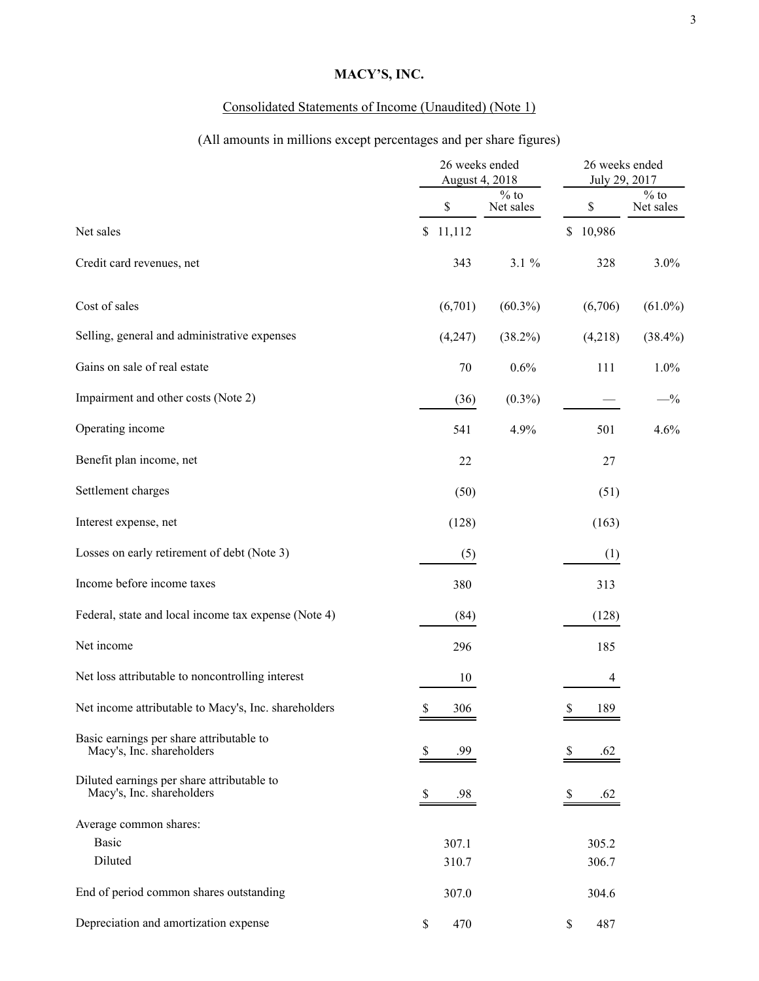## **MACY'S, INC.**

### Consolidated Statements of Income (Unaudited) (Note 1)

# (All amounts in millions except percentages and per share figures)

|                                                                         | 26 weeks ended<br>August 4, 2018 |         | 26 weeks ended<br>July 29, 2017 |                    |                               |
|-------------------------------------------------------------------------|----------------------------------|---------|---------------------------------|--------------------|-------------------------------|
|                                                                         |                                  | \$      | $\frac{0}{6}$ to<br>Net sales   | \$                 | $\frac{9}{6}$ to<br>Net sales |
| Net sales                                                               | \$                               | 11,112  |                                 | 10,986<br>\$       |                               |
| Credit card revenues, net                                               |                                  | 343     | $3.1 \%$                        | 328                | 3.0%                          |
| Cost of sales                                                           |                                  | (6,701) | $(60.3\%)$                      | (6,706)            | $(61.0\%)$                    |
| Selling, general and administrative expenses                            |                                  | (4,247) | $(38.2\%)$                      | (4,218)            | $(38.4\%)$                    |
| Gains on sale of real estate                                            |                                  | 70      | 0.6%                            | 111                | 1.0%                          |
| Impairment and other costs (Note 2)                                     |                                  | (36)    | $(0.3\%)$                       |                    | $-$ %                         |
| Operating income                                                        |                                  | 541     | 4.9%                            | 501                | 4.6%                          |
| Benefit plan income, net                                                |                                  | 22      |                                 | 27                 |                               |
| Settlement charges                                                      |                                  | (50)    |                                 | (51)               |                               |
| Interest expense, net                                                   |                                  | (128)   |                                 | (163)              |                               |
| Losses on early retirement of debt (Note 3)                             |                                  | (5)     |                                 |                    | (1)                           |
| Income before income taxes                                              |                                  | 380     |                                 | 313                |                               |
| Federal, state and local income tax expense (Note 4)                    |                                  | (84)    |                                 | (128)              |                               |
| Net income                                                              |                                  | 296     |                                 | 185                |                               |
| Net loss attributable to noncontrolling interest                        |                                  | 10      |                                 |                    | 4                             |
| Net income attributable to Macy's, Inc. shareholders                    | \$                               | 306     |                                 | $\mathbb S$<br>189 |                               |
| Basic earnings per share attributable to<br>Macy's, Inc. shareholders   | S.                               | .99     |                                 | S<br>.62           |                               |
| Diluted earnings per share attributable to<br>Macy's, Inc. shareholders | \$                               | .98     |                                 | .62<br>P.          |                               |
| Average common shares:                                                  |                                  |         |                                 |                    |                               |
| <b>Basic</b>                                                            |                                  | 307.1   |                                 | 305.2              |                               |
| Diluted                                                                 |                                  | 310.7   |                                 | 306.7              |                               |
| End of period common shares outstanding                                 |                                  | 307.0   |                                 | 304.6              |                               |
| Depreciation and amortization expense                                   | \$                               | 470     |                                 | \$<br>487          |                               |